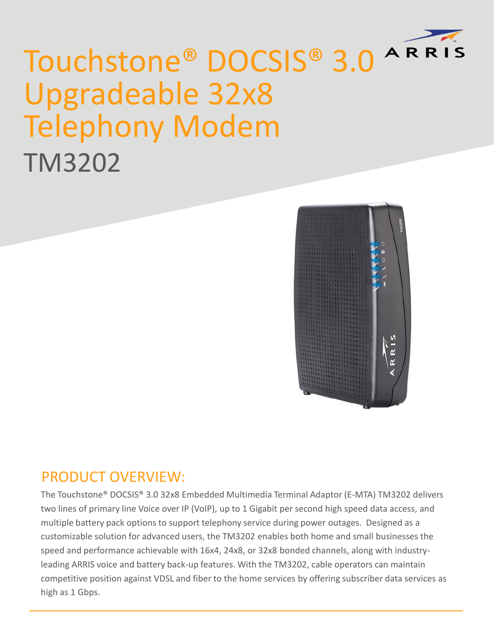

## Touchstone® DOCSIS® 3.0 Upgradeable 32x8 Telephony Modem TM3202



## PRODUCT OVERVIEW:

The Touchstone® DOCSIS® 3.0 32x8 Embedded Multimedia Terminal Adaptor (E-MTA) TM3202 delivers two lines of primary line Voice over IP (VoIP), up to 1 Gigabit per second high speed data access, and multiple battery pack options to support telephony service during power outages. Designed as a customizable solution for advanced users, the TM3202 enables both home and small businesses the speed and performance achievable with 16x4, 24x8, or 32x8 bonded channels, along with industryleading ARRIS voice and battery back-up features. With the TM3202, cable operators can maintain competitive position against VDSL and fiber to the home services by offering subscriber data services as high as 1 Gbps.